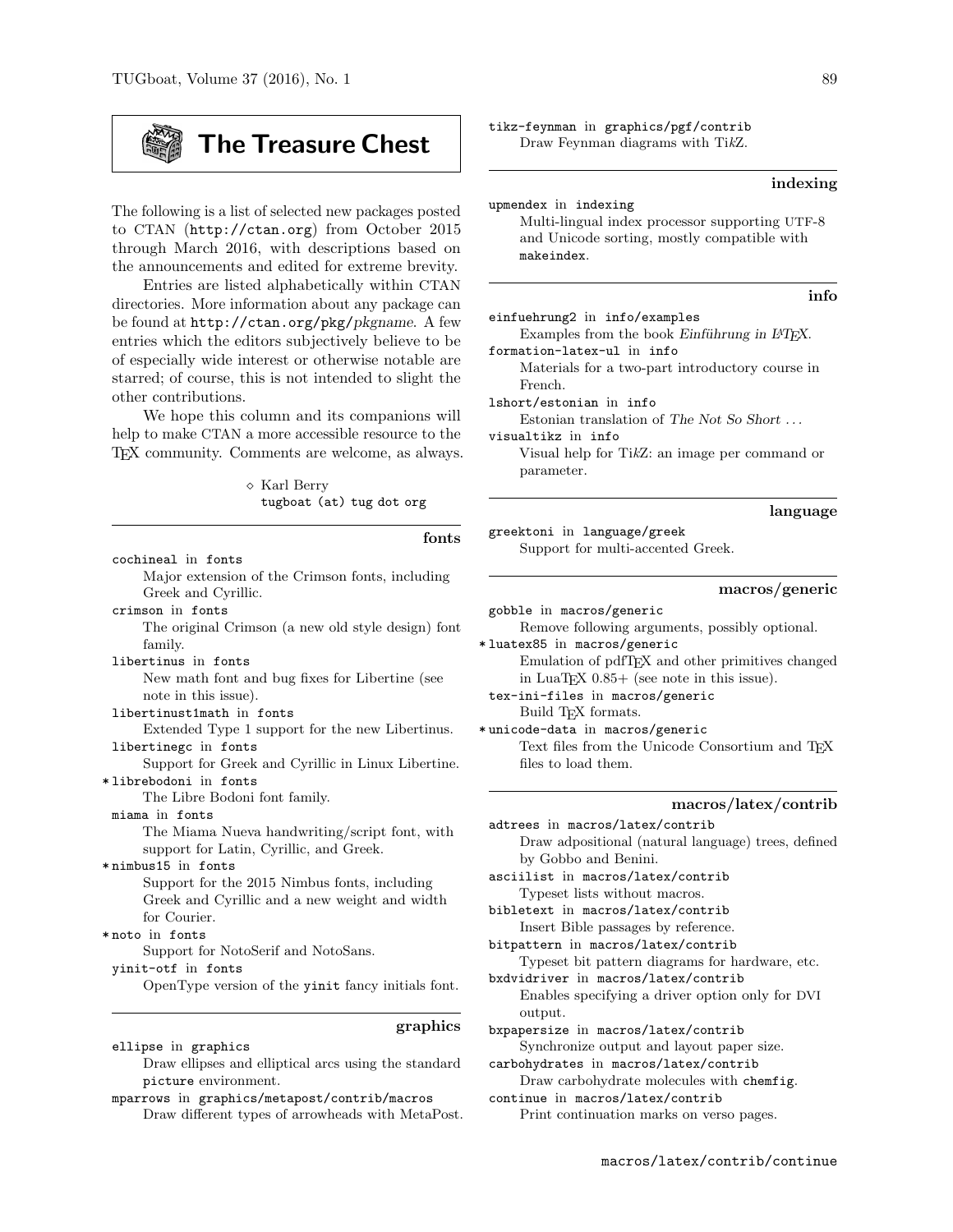# The Treasure Chest

The following is a list of selected new packages posted to CTAN (http://ctan.org) from October 2015 through March 2016, with descriptions based on the announcements and edited for extreme brevity.

Entries are listed alphabetically within CTAN directories. More information about any package can be found at http://ctan.org/pkg/pkgname. A few entries which the editors subjectively believe to be of especially wide interest or otherwise notable are starred; of course, this is not intended to slight the other contributions.

We hope this column and its companions will help to make CTAN a more accessible resource to the TEX community. Comments are welcome, as always.

> Karl Berry tugboat (at) tug dot org

| fonts                                              | greek   |
|----------------------------------------------------|---------|
| cochineal in fonts                                 |         |
| Major extension of the Crimson fonts, including    |         |
| Greek and Cyrillic.                                |         |
| crimson in fonts                                   | gobb]   |
| The original Crimson (a new old style design) font |         |
| family.                                            | *luate  |
| libertinus in fonts                                |         |
| New math font and bug fixes for Libertine (see     |         |
| note in this issue).                               | tex-i   |
| libertinust1math in fonts                          |         |
| Extended Type 1 support for the new Libertinus.    | * unico |
| libertinegc in fonts                               |         |
| Support for Greek and Cyrillic in Linux Libertine. |         |
| *librebodoni in fonts                              |         |
| The Libre Bodoni font family.                      |         |
| miama in fonts                                     | adtre   |
| The Miama Nueva handwriting/script font, with      |         |
| support for Latin, Cyrillic, and Greek.            |         |
| *nimbus15 in fonts                                 | ascii   |
| Support for the 2015 Nimbus fonts, including       |         |
| Greek and Cyrillic and a new weight and width      | bible   |
| for Courier.                                       |         |
| *noto in fonts                                     |         |
| Support for NotoSerif and NotoSans.                | bitpa   |
| yinit-otf in fonts                                 | bxdvi   |
| OpenType version of the yinit fancy initials font. |         |
| graphics                                           | bxpap   |
| ellipse in graphics                                |         |

Draw ellipses and elliptical arcs using the standard picture environment.

mparrows in graphics/metapost/contrib/macros Draw different types of arrowheads with MetaPost. tikz-feynman in graphics/pgf/contrib Draw Feynman diagrams with TikZ.

#### indexing

| upmendex in indexing                           |
|------------------------------------------------|
| Multi-lingual index processor supporting UTF-8 |
| and Unicode sorting, mostly compatible with    |
| makeindex.                                     |
|                                                |

#### info

| einfuehrung2 in info/examples                            |
|----------------------------------------------------------|
| Examples from the book Einführung in IAT <sub>F</sub> X. |
| formation-latex-ul in info                               |
| Materials for a two-part introductory course in          |

French.

lshort/estonian in info Estonian translation of The Not So Short . . .

visualtikz in info Visual help for TikZ: an image per command or parameter.

#### language

toni in language/greek Support for multi-accented Greek.

#### macros/generic

e in macros/generic

Remove following arguments, possibly optional.

x85 in macros/generic Emulation of pdfT<sub>F</sub>X and other primitives changed in LuaTEX  $0.85+$  (see note in this issue).

ni-files in macros/generic Build T<sub>F</sub>X formats.

de-data in macros/generic Text files from the Unicode Consortium and TEX files to load them.

#### macros/latex/contrib

es in macros/latex/contrib Draw adpositional (natural language) trees, defined by Gobbo and Benini.

list in macros/latex/contrib Typeset lists without macros.

text in macros/latex/contrib Insert Bible passages by reference.

ttern in macros/latex/contrib

Typeset bit pattern diagrams for hardware, etc. driver in macros/latex/contrib

Enables specifying a driver option only for DVI output.

bersize in macros/latex/contrib Synchronize output and layout paper size.

carbohydrates in macros/latex/contrib

Draw carbohydrate molecules with chemfig. continue in macros/latex/contrib Print continuation marks on verso pages.